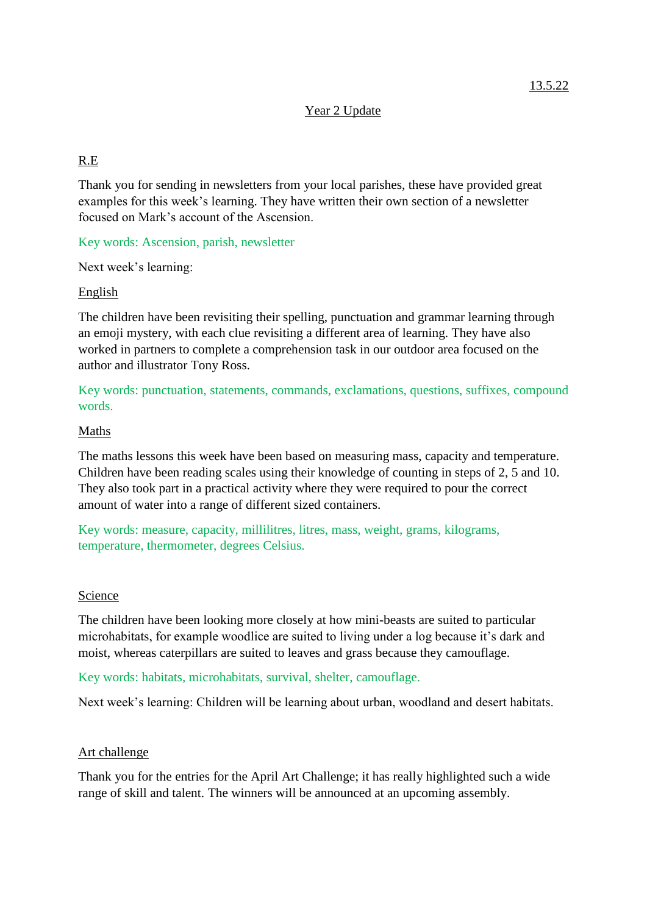## Year 2 Update

# R.E

Thank you for sending in newsletters from your local parishes, these have provided great examples for this week's learning. They have written their own section of a newsletter focused on Mark's account of the Ascension.

Key words: Ascension, parish, newsletter

Next week's learning:

## English

The children have been revisiting their spelling, punctuation and grammar learning through an emoji mystery, with each clue revisiting a different area of learning. They have also worked in partners to complete a comprehension task in our outdoor area focused on the author and illustrator Tony Ross.

Key words: punctuation, statements, commands, exclamations, questions, suffixes, compound words.

## Maths

The maths lessons this week have been based on measuring mass, capacity and temperature. Children have been reading scales using their knowledge of counting in steps of 2, 5 and 10. They also took part in a practical activity where they were required to pour the correct amount of water into a range of different sized containers.

Key words: measure, capacity, millilitres, litres, mass, weight, grams, kilograms, temperature, thermometer, degrees Celsius.

#### Science

The children have been looking more closely at how mini-beasts are suited to particular microhabitats, for example woodlice are suited to living under a log because it's dark and moist, whereas caterpillars are suited to leaves and grass because they camouflage.

Key words: habitats, microhabitats, survival, shelter, camouflage.

Next week's learning: Children will be learning about urban, woodland and desert habitats.

#### Art challenge

Thank you for the entries for the April Art Challenge; it has really highlighted such a wide range of skill and talent. The winners will be announced at an upcoming assembly.